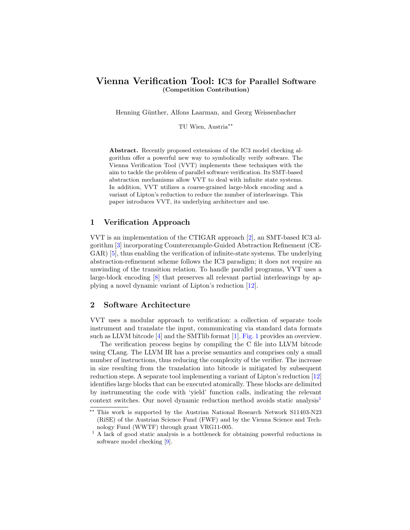# Vienna Verification Tool: IC3 for Parallel Software (Competition Contribution)

Henning Günther, Alfons Laarman, and Georg Weissenbacher

TU Wien, Austria<sup>\*\*</sup>

Abstract. Recently proposed extensions of the IC3 model checking algorithm offer a powerful new way to symbolically verify software. The Vienna Verification Tool (VVT) implements these techniques with the aim to tackle the problem of parallel software verification. Its SMT-based abstraction mechanisms allow VVT to deal with infinite state systems. In addition, VVT utilizes a coarse-grained large-block encoding and a variant of Lipton's reduction to reduce the number of interleavings. This paper introduces VVT, its underlying architecture and use.

## 1 Verification Approach

VVT is an implementation of the CTIGAR approach [\[2\]](#page-2-0), an SMT-based IC3 algorithm [\[3\]](#page-2-1) incorporating Counterexample-Guided Abstraction Refinement (CE-GAR) [\[5\]](#page-2-2), thus enabling the verification of infinite-state systems. The underlying abstraction-refinement scheme follows the IC3 paradigm; it does not require an unwinding of the transition relation. To handle parallel programs, VVT uses a large-block encoding [\[8\]](#page-2-3) that preserves all relevant partial interleavings by applying a novel dynamic variant of Lipton's reduction [\[12\]](#page-2-4).

# 2 Software Architecture

VVT uses a modular approach to verification: a collection of separate tools instrument and translate the input, communicating via standard data formats such as LLVM bitcode [\[4\]](#page-2-5) and the SMTlib format [\[1\]](#page-2-6). [Fig. 1](#page-1-0) provides an overview.

The verification process begins by compiling the C file into LLVM bitcode using CLang. The LLVM IR has a precise semantics and comprises only a small number of instructions, thus reducing the complexity of the verifier. The increase in size resulting from the translation into bitcode is mitigated by subsequent reduction steps. A separate tool implementing a variant of Lipton's reduction [\[12\]](#page-2-4) identifies large blocks that can be executed atomically. These blocks are delimited by instrumenting the code with 'yield' function calls, indicating the relevant context switches. Our novel dynamic reduction method avoids static analysis<sup>[1](#page-0-0)</sup>

<sup>\*\*</sup> This work is supported by the Austrian National Research Network S11403-N23 (RiSE) of the Austrian Science Fund (FWF) and by the Vienna Science and Technology Fund (WWTF) through grant VRG11-005.

<span id="page-0-0"></span><sup>&</sup>lt;sup>1</sup> A lack of good static analysis is a bottleneck for obtaining powerful reductions in software model checking [\[9\]](#page-2-7).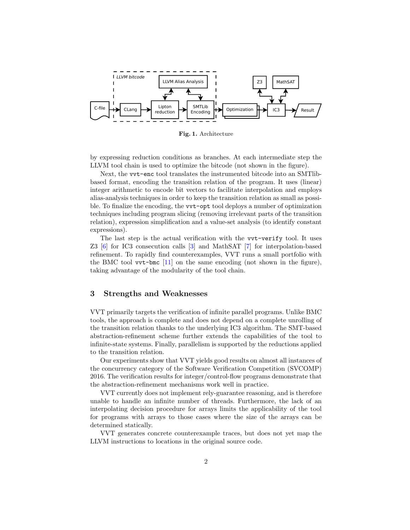

<span id="page-1-0"></span>Fig. 1. Architecture

by expressing reduction conditions as branches. At each intermediate step the LLVM tool chain is used to optimize the bitcode (not shown in the figure).

Next, the vvt-enc tool translates the instrumented bitcode into an SMTlibbased format, encoding the transition relation of the program. It uses (linear) integer arithmetic to encode bit vectors to facilitate interpolation and employs alias-analysis techniques in order to keep the transition relation as small as possible. To finalize the encoding, the vvt-opt tool deploys a number of optimization techniques including program slicing (removing irrelevant parts of the transition relation), expression simplification and a value-set analysis (to identify constant expressions).

The last step is the actual verification with the vvt-verify tool. It uses Z3 [\[6\]](#page-2-8) for IC3 consecution calls [\[3\]](#page-2-1) and MathSAT [\[7\]](#page-2-9) for interpolation-based refinement. To rapidly find counterexamples, VVT runs a small portfolio with the BMC tool  $\text{vvt-bmc}$  [\[11\]](#page-2-10) on the same encoding (not shown in the figure), taking advantage of the modularity of the tool chain.

#### 3 Strengths and Weaknesses

VVT primarily targets the verification of infinite parallel programs. Unlike BMC tools, the approach is complete and does not depend on a complete unrolling of the transition relation thanks to the underlying IC3 algorithm. The SMT-based abstraction-refinement scheme further extends the capabilities of the tool to infinite-state systems. Finally, parallelism is supported by the reductions applied to the transition relation.

Our experiments show that VVT yields good results on almost all instances of the concurrency category of the Software Verification Competition (SVCOMP) 2016. The verification results for integer/control-flow programs demonstrate that the abstraction-refinement mechanisms work well in practice.

VVT currently does not implement rely-guarantee reasoning, and is therefore unable to handle an infinite number of threads. Furthermore, the lack of an interpolating decision procedure for arrays limits the applicability of the tool for programs with arrays to those cases where the size of the arrays can be determined statically.

VVT generates concrete counterexample traces, but does not yet map the LLVM instructions to locations in the original source code.